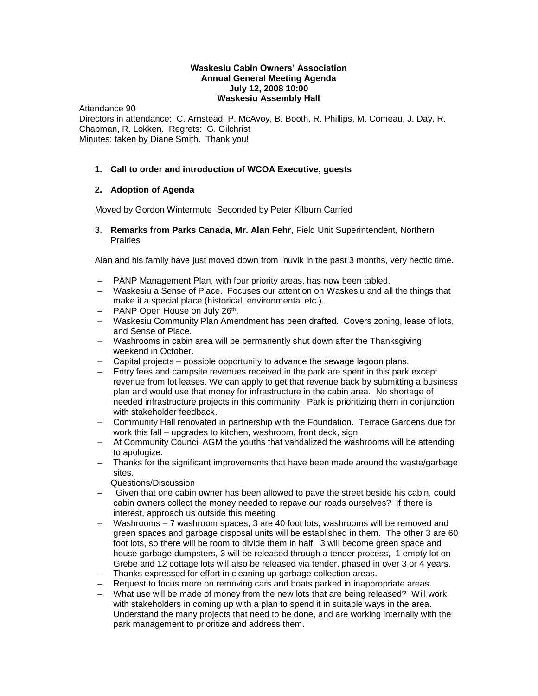#### **Waskesiu Cabin Owners' Association Annual General Meeting Agenda July 12, 2008 10:00 Waskesiu Assembly Hall**

Attendance 90 Directors in attendance: C. Arnstead, P. McAvoy, B. Booth, R. Phillips, M. Comeau, J. Day, R. Chapman, R. Lokken. Regrets: G. Gilchrist Minutes: taken by Diane Smith. Thank you!

### **1. Call to order and introduction of WCOA Executive, guests**

#### **2. Adoption of Agenda**

Moved by Gordon Wintermute Seconded by Peter Kilburn Carried

3. **Remarks from Parks Canada, Mr. Alan Fehr**, Field Unit Superintendent, Northern Prairies

Alan and his family have just moved down from Inuvik in the past 3 months, very hectic time.

- PANP Management Plan, with four priority areas, has now been tabled.
- Waskesiu a Sense of Place. Focuses our attention on Waskesiu and all the things that make it a special place (historical, environmental etc.).
- PANP Open House on July 26<sup>th</sup>.
- Waskesiu Community Plan Amendment has been drafted. Covers zoning, lease of lots, and Sense of Place.
- Washrooms in cabin area will be permanently shut down after the Thanksgiving weekend in October.
- Capital projects possible opportunity to advance the sewage lagoon plans.
- Entry fees and campsite revenues received in the park are spent in this park except revenue from lot leases. We can apply to get that revenue back by submitting a business plan and would use that money for infrastructure in the cabin area. No shortage of needed infrastructure projects in this community. Park is prioritizing them in conjunction with stakeholder feedback.
- Community Hall renovated in partnership with the Foundation. Terrace Gardens due for work this fall – upgrades to kitchen, washroom, front deck, sign.
- At Community Council AGM the youths that vandalized the washrooms will be attending to apologize.
- Thanks for the significant improvements that have been made around the waste/garbage sites.
	- Questions/Discussion
- Given that one cabin owner has been allowed to pave the street beside his cabin, could cabin owners collect the money needed to repave our roads ourselves? If there is interest, approach us outside this meeting
- Washrooms 7 washroom spaces, 3 are 40 foot lots, washrooms will be removed and green spaces and garbage disposal units will be established in them. The other 3 are 60 foot lots, so there will be room to divide them in half: 3 will become green space and house garbage dumpsters, 3 will be released through a tender process, 1 empty lot on Grebe and 12 cottage lots will also be released via tender, phased in over 3 or 4 years.
- Thanks expressed for effort in cleaning up garbage collection areas.
- Request to focus more on removing cars and boats parked in inappropriate areas.
- What use will be made of money from the new lots that are being released? Will work with stakeholders in coming up with a plan to spend it in suitable ways in the area. Understand the many projects that need to be done, and are working internally with the park management to prioritize and address them.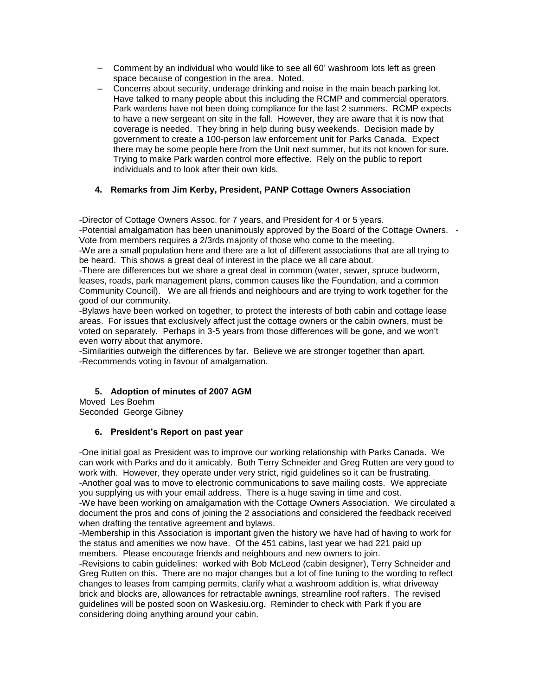- Comment by an individual who would like to see all 60' washroom lots left as green space because of congestion in the area. Noted.
- Concerns about security, underage drinking and noise in the main beach parking lot. Have talked to many people about this including the RCMP and commercial operators. Park wardens have not been doing compliance for the last 2 summers. RCMP expects to have a new sergeant on site in the fall. However, they are aware that it is now that coverage is needed. They bring in help during busy weekends. Decision made by government to create a 100-person law enforcement unit for Parks Canada. Expect there may be some people here from the Unit next summer, but its not known for sure. Trying to make Park warden control more effective. Rely on the public to report individuals and to look after their own kids.

# **4. Remarks from Jim Kerby, President, PANP Cottage Owners Association**

-Director of Cottage Owners Assoc. for 7 years, and President for 4 or 5 years.

-Potential amalgamation has been unanimously approved by the Board of the Cottage Owners. - Vote from members requires a 2/3rds majority of those who come to the meeting.

-We are a small population here and there are a lot of different associations that are all trying to be heard. This shows a great deal of interest in the place we all care about.

-There are differences but we share a great deal in common (water, sewer, spruce budworm, leases, roads, park management plans, common causes like the Foundation, and a common Community Council). We are all friends and neighbours and are trying to work together for the good of our community.

-Bylaws have been worked on together, to protect the interests of both cabin and cottage lease areas. For issues that exclusively affect just the cottage owners or the cabin owners, must be voted on separately. Perhaps in 3-5 years from those differences will be gone, and we won't even worry about that anymore.

-Similarities outweigh the differences by far. Believe we are stronger together than apart. -Recommends voting in favour of amalgamation.

# **5. Adoption of minutes of 2007 AGM**

Moved Les Boehm

Seconded George Gibney

#### **6. President's Report on past year**

-One initial goal as President was to improve our working relationship with Parks Canada. We can work with Parks and do it amicably. Both Terry Schneider and Greg Rutten are very good to work with. However, they operate under very strict, rigid guidelines so it can be frustrating. -Another goal was to move to electronic communications to save mailing costs. We appreciate you supplying us with your email address. There is a huge saving in time and cost. -We have been working on amalgamation with the Cottage Owners Association. We circulated a document the pros and cons of joining the 2 associations and considered the feedback received when drafting the tentative agreement and bylaws.

-Membership in this Association is important given the history we have had of having to work for the status and amenities we now have. Of the 451 cabins, last year we had 221 paid up members. Please encourage friends and neighbours and new owners to join.

-Revisions to cabin guidelines: worked with Bob McLeod (cabin designer), Terry Schneider and Greg Rutten on this. There are no major changes but a lot of fine tuning to the wording to reflect changes to leases from camping permits, clarify what a washroom addition is, what driveway brick and blocks are, allowances for retractable awnings, streamline roof rafters. The revised guidelines will be posted soon on Waskesiu.org. Reminder to check with Park if you are considering doing anything around your cabin.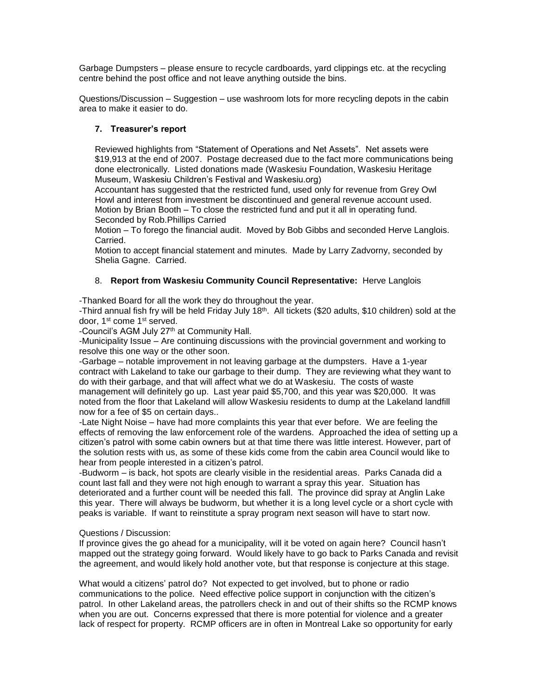Garbage Dumpsters – please ensure to recycle cardboards, yard clippings etc. at the recycling centre behind the post office and not leave anything outside the bins.

Questions/Discussion – Suggestion – use washroom lots for more recycling depots in the cabin area to make it easier to do.

# **7. Treasurer's report**

Reviewed highlights from "Statement of Operations and Net Assets". Net assets were \$19,913 at the end of 2007. Postage decreased due to the fact more communications being done electronically. Listed donations made (Waskesiu Foundation, Waskesiu Heritage Museum, Waskesiu Children's Festival and Waskesiu.org)

Accountant has suggested that the restricted fund, used only for revenue from Grey Owl Howl and interest from investment be discontinued and general revenue account used. Motion by Brian Booth – To close the restricted fund and put it all in operating fund. Seconded by Rob.Phillips Carried

Motion – To forego the financial audit. Moved by Bob Gibbs and seconded Herve Langlois. Carried.

Motion to accept financial statement and minutes. Made by Larry Zadvorny, seconded by Shelia Gagne. Carried.

# 8. **Report from Waskesiu Community Council Representative:** Herve Langlois

-Thanked Board for all the work they do throughout the year.

-Third annual fish fry will be held Friday July 18<sup>th</sup>. All tickets (\$20 adults, \$10 children) sold at the door, 1st come 1st served.

-Council's AGM July 27<sup>th</sup> at Community Hall.

-Municipality Issue – Are continuing discussions with the provincial government and working to resolve this one way or the other soon.

-Garbage – notable improvement in not leaving garbage at the dumpsters. Have a 1-year contract with Lakeland to take our garbage to their dump. They are reviewing what they want to do with their garbage, and that will affect what we do at Waskesiu. The costs of waste management will definitely go up. Last year paid \$5,700, and this year was \$20,000. It was noted from the floor that Lakeland will allow Waskesiu residents to dump at the Lakeland landfill now for a fee of \$5 on certain days..

-Late Night Noise – have had more complaints this year that ever before. We are feeling the effects of removing the law enforcement role of the wardens. Approached the idea of setting up a citizen's patrol with some cabin owners but at that time there was little interest. However, part of the solution rests with us, as some of these kids come from the cabin area Council would like to hear from people interested in a citizen's patrol.

-Budworm – is back, hot spots are clearly visible in the residential areas. Parks Canada did a count last fall and they were not high enough to warrant a spray this year. Situation has deteriorated and a further count will be needed this fall. The province did spray at Anglin Lake this year. There will always be budworm, but whether it is a long level cycle or a short cycle with peaks is variable. If want to reinstitute a spray program next season will have to start now.

#### Questions / Discussion:

If province gives the go ahead for a municipality, will it be voted on again here? Council hasn't mapped out the strategy going forward. Would likely have to go back to Parks Canada and revisit the agreement, and would likely hold another vote, but that response is conjecture at this stage.

What would a citizens' patrol do? Not expected to get involved, but to phone or radio communications to the police. Need effective police support in conjunction with the citizen's patrol. In other Lakeland areas, the patrollers check in and out of their shifts so the RCMP knows when you are out. Concerns expressed that there is more potential for violence and a greater lack of respect for property. RCMP officers are in often in Montreal Lake so opportunity for early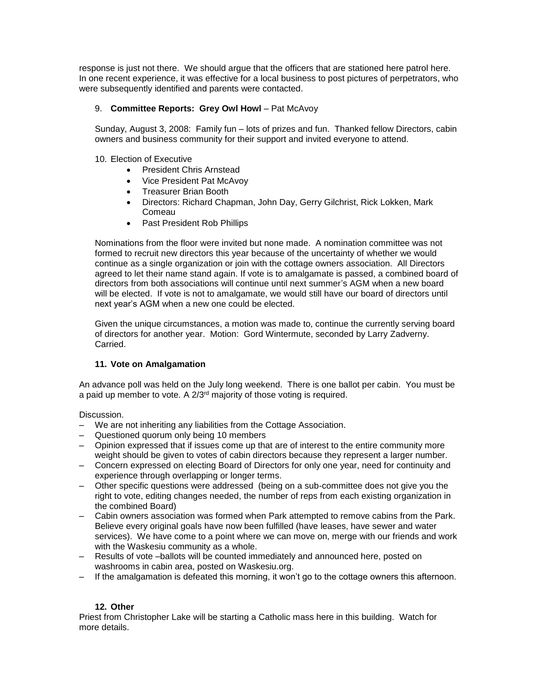response is just not there. We should argue that the officers that are stationed here patrol here. In one recent experience, it was effective for a local business to post pictures of perpetrators, who were subsequently identified and parents were contacted.

# 9. **Committee Reports: Grey Owl Howl** – Pat McAvoy

Sunday, August 3, 2008: Family fun – lots of prizes and fun. Thanked fellow Directors, cabin owners and business community for their support and invited everyone to attend.

#### 10. Election of Executive

- President Chris Arnstead
- Vice President Pat McAvov
- Treasurer Brian Booth
- Directors: Richard Chapman, John Day, Gerry Gilchrist, Rick Lokken, Mark Comeau
- Past President Rob Phillips

Nominations from the floor were invited but none made. A nomination committee was not formed to recruit new directors this year because of the uncertainty of whether we would continue as a single organization or join with the cottage owners association. All Directors agreed to let their name stand again. If vote is to amalgamate is passed, a combined board of directors from both associations will continue until next summer's AGM when a new board will be elected. If vote is not to amalgamate, we would still have our board of directors until next year's AGM when a new one could be elected.

Given the unique circumstances, a motion was made to, continue the currently serving board of directors for another year. Motion: Gord Wintermute, seconded by Larry Zadverny. Carried.

# **11. Vote on Amalgamation**

An advance poll was held on the July long weekend. There is one ballot per cabin. You must be a paid up member to vote. A  $2/3<sup>rd</sup>$  majority of those voting is required.

Discussion.

- We are not inheriting any liabilities from the Cottage Association.
- Questioned quorum only being 10 members
- Opinion expressed that if issues come up that are of interest to the entire community more weight should be given to votes of cabin directors because they represent a larger number.
- Concern expressed on electing Board of Directors for only one year, need for continuity and experience through overlapping or longer terms.
- Other specific questions were addressed (being on a sub-committee does not give you the right to vote, editing changes needed, the number of reps from each existing organization in the combined Board)
- Cabin owners association was formed when Park attempted to remove cabins from the Park. Believe every original goals have now been fulfilled (have leases, have sewer and water services). We have come to a point where we can move on, merge with our friends and work with the Waskesiu community as a whole.
- Results of vote –ballots will be counted immediately and announced here, posted on washrooms in cabin area, posted on Waskesiu.org.
- If the amalgamation is defeated this morning, it won't go to the cottage owners this afternoon.

# **12. Other**

Priest from Christopher Lake will be starting a Catholic mass here in this building. Watch for more details.